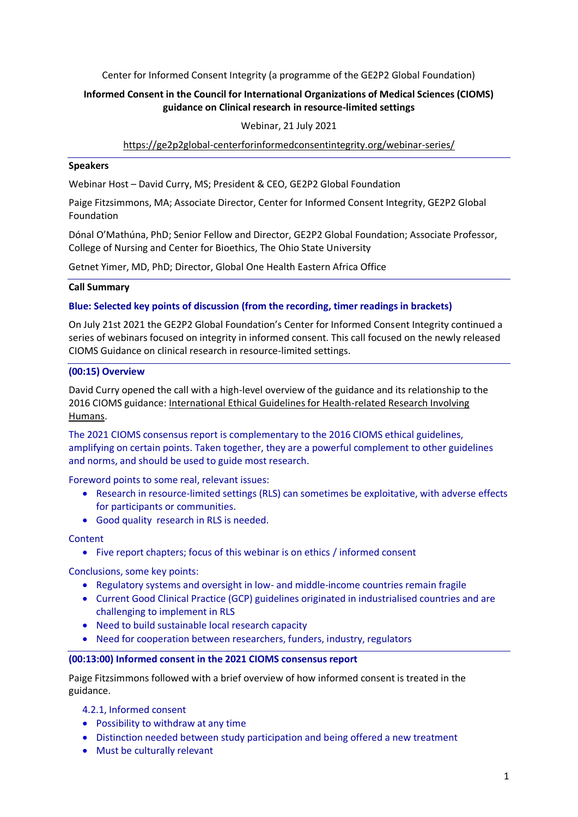Center for Informed Consent Integrity (a programme of the GE2P2 Global Foundation)

# **Informed Consent in the Council for International Organizations of Medical Sciences (CIOMS) guidance on Clinical research in resource-limited settings**

## Webinar, 21 July 2021

## <https://ge2p2global-centerforinformedconsentintegrity.org/webinar-series/>

#### **Speakers**

Webinar Host – David Curry, MS; President & CEO, GE2P2 Global Foundation

Paige Fitzsimmons, MA; Associate Director, Center for Informed Consent Integrity, GE2P2 Global Foundation

Dónal O'Mathúna, PhD; Senior Fellow and Director, GE2P2 Global Foundation; Associate Professor, College of Nursing and Center for Bioethics, The Ohio State University

Getnet Yimer, MD, PhD; Director, Global One Health Eastern Africa Office

#### **Call Summary**

#### **Blue: Selected key points of discussion (from the recording, timer readings in brackets)**

On July 21st 2021 the GE2P2 Global Foundation's Center for Informed Consent Integrity continued a series of webinars focused on integrity in informed consent. This call focused on the newly released CIOMS Guidance on clinical research in resource-limited settings.

#### **(00:15) Overview**

David Curry opened the call with a high-level overview of the guidance and its relationship to the 2016 CIOMS guidance: [International Ethical Guidelines for Health-related Research Involving](https://cioms.ch/wp-content/uploads/2017/01/WEB-CIOMS-EthicalGuidelines.pdf)  [Humans.](https://cioms.ch/wp-content/uploads/2017/01/WEB-CIOMS-EthicalGuidelines.pdf)

The 2021 CIOMS consensus report is complementary to the 2016 CIOMS ethical guidelines, amplifying on certain points. Taken together, they are a powerful complement to other guidelines and norms, and should be used to guide most research.

Foreword points to some real, relevant issues:

- Research in resource-limited settings (RLS) can sometimes be exploitative, with adverse effects for participants or communities.
- Good quality research in RLS is needed.

### **Content**

• Five report chapters; focus of this webinar is on ethics / informed consent

Conclusions, some key points:

- Regulatory systems and oversight in low- and middle-income countries remain fragile
- Current Good Clinical Practice (GCP) guidelines originated in industrialised countries and are challenging to implement in RLS
- Need to build sustainable local research capacity
- Need for cooperation between researchers, funders, industry, regulators

#### **(00:13:00) Informed consent in the 2021 CIOMS consensus report**

Paige Fitzsimmons followed with a brief overview of how informed consent is treated in the guidance.

4.2.1, Informed consent

- Possibility to withdraw at any time
- Distinction needed between study participation and being offered a new treatment
- Must be culturally relevant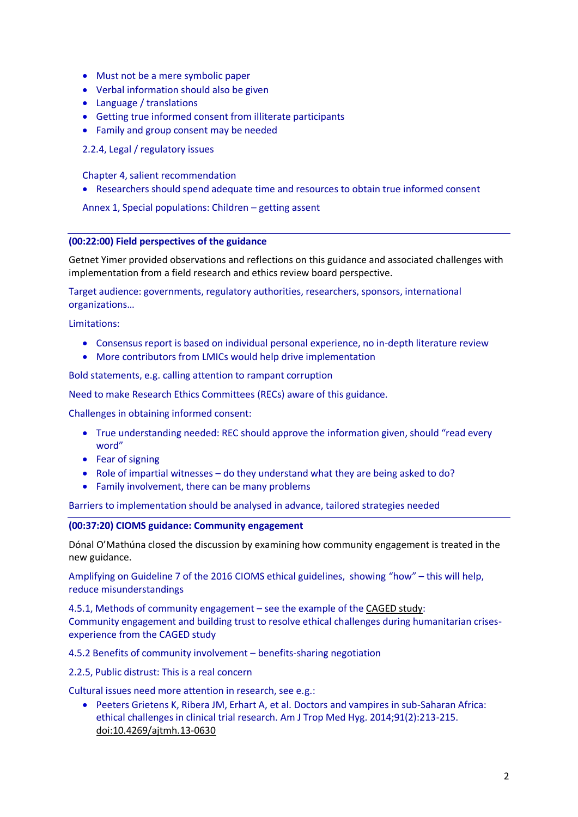- Must not be a mere symbolic paper
- Verbal information should also be given
- Language / translations
- Getting true informed consent from illiterate participants
- Family and group consent may be needed
- 2.2.4, Legal / regulatory issues

Chapter 4, salient recommendation

Researchers should spend adequate time and resources to obtain true informed consent

Annex 1, Special populations: Children – getting assent

#### **(00:22:00) Field perspectives of the guidance**

Getnet Yimer provided observations and reflections on this guidance and associated challenges with implementation from a field research and ethics review board perspective.

Target audience: governments, regulatory authorities, researchers, sponsors, international organizations…

Limitations:

- Consensus report is based on individual personal experience, no in-depth literature review
- More contributors from LMICs would help drive implementation

Bold statements, e.g. calling attention to rampant corruption

Need to make Research Ethics Committees (RECs) aware of this guidance.

Challenges in obtaining informed consent:

- True understanding needed: REC should approve the information given, should "read every word"
- Fear of signing
- Role of impartial witnesses do they understand what they are being asked to do?
- Family involvement, there can be many problems

Barriers to implementation should be analysed in advance, tailored strategies needed

### **(00:37:20) CIOMS guidance: Community engagement**

Dónal O'Mathúna closed the discussion by examining how community engagement is treated in the new guidance.

Amplifying on Guideline 7 of the 2016 CIOMS ethical guidelines, showing "how" – this will help, reduce misunderstandings

4.5.1, Methods of community engagement – see the example of the [CAGED study:](https://asymmetricphilanthropy.files.wordpress.com/2021/07/community-engagement-and-building-trust-to-resolve-ethical-challenges-during-humanitarian-crises-experience-from-the-caged-study.pdf) Community engagement and building trust to resolve ethical challenges during humanitarian crisesexperience from the CAGED study

4.5.2 Benefits of community involvement – benefits-sharing negotiation

2.2.5, Public distrust: This is a real concern

Cultural issues need more attention in research, see e.g.:

 Peeters Grietens K, Ribera JM, Erhart A, et al. Doctors and vampires in sub-Saharan Africa: ethical challenges in clinical trial research. Am J Trop Med Hyg. 2014;91(2):213-215. [doi:10.4269/ajtmh.13-0630](https://doi.org/10.4269/ajtmh.13-0630)